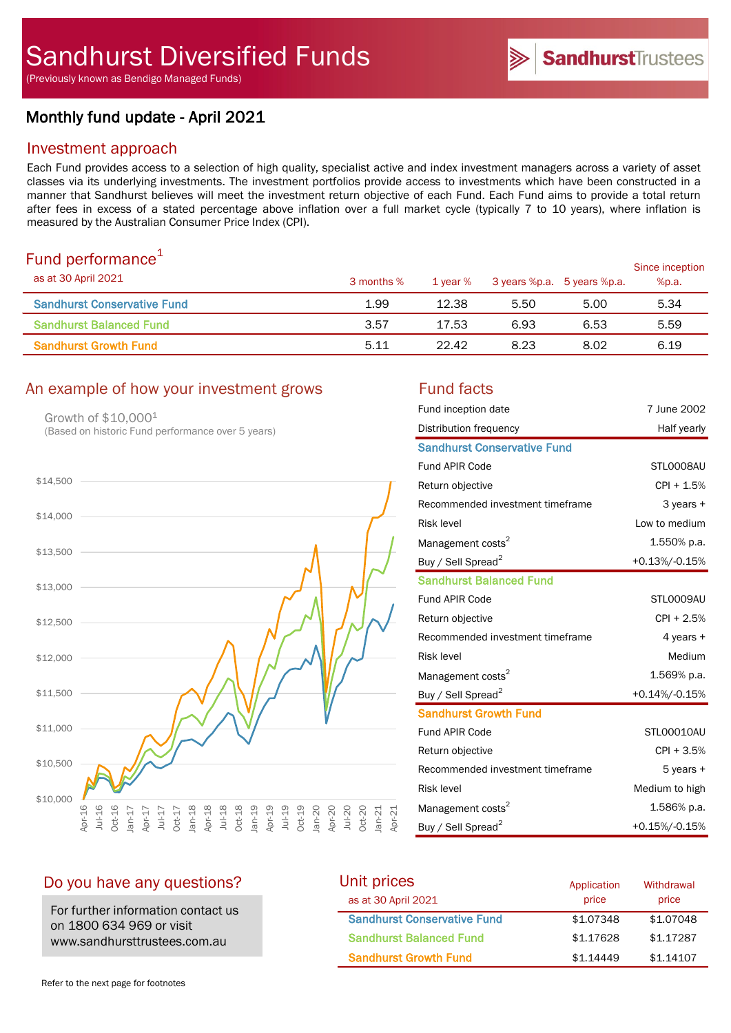(Previously known as Bendigo Managed Funds)

# Monthly fund update - April 2021

## Investment approach

Each Fund provides access to a selection of high quality, specialist active and index investment managers across a variety of asset classes via its underlying investments. The investment portfolios provide access to investments which have been constructed in a manner that Sandhurst believes will meet the investment return objective of each Fund. Each Fund aims to provide a total return after fees in excess of a stated percentage above inflation over a full market cycle (typically 7 to 10 years), where inflation is measured by the Australian Consumer Price Index (CPI).

# Fund performance $1$

| $\sim$ 0.10 $\sim$ 0.11 $\sim$ 0.11 $\sim$ 0.11 $\sim$ 0.11<br>as at 30 April 2021 | 3 months % | 1 year % | 3 years %p.a. 5 years %p.a. |      | Since inception<br>%p.a. |
|------------------------------------------------------------------------------------|------------|----------|-----------------------------|------|--------------------------|
| <b>Sandhurst Conservative Fund</b>                                                 | 1.99       | 12.38    | 5.50                        | 5.00 | 5.34                     |
| <b>Sandhurst Balanced Fund</b>                                                     | 3.57       | 17.53    | 6.93                        | 6.53 | 5.59                     |
| <b>Sandhurst Growth Fund</b>                                                       | 5.11       | 22.42    | 8.23                        | 8.02 | 6.19                     |

# An example of how your investment grows Fund facts

Growth of \$10,0001 (Based on historic Fund performance over 5 years)



| Fund inception date                | 7 June 2002      |
|------------------------------------|------------------|
| Distribution frequency             | Half yearly      |
| <b>Sandhurst Conservative Fund</b> |                  |
| Fund APIR Code                     | STL0008AU        |
| Return objective                   | CPI + 1.5%       |
| Recommended investment timeframe   | 3 years +        |
| <b>Risk level</b>                  | Low to medium    |
| Management costs <sup>2</sup>      | 1.550% p.a.      |
| Buy / Sell Spread <sup>2</sup>     | $+0.13\%/0.15\%$ |
| <b>Sandhurst Balanced Fund</b>     |                  |
| Fund APIR Code                     | STL0009AU        |
| Return objective                   | $CPI + 2.5%$     |
| Recommended investment timeframe   | 4 years +        |
| <b>Risk level</b>                  | Medium           |
| Management costs <sup>2</sup>      | 1.569% p.a.      |
| Buy / Sell Spread <sup>2</sup>     | +0.14%/-0.15%    |
| <b>Sandhurst Growth Fund</b>       |                  |
| <b>Fund APIR Code</b>              | STL00010AU       |
| Return objective                   | $CPI + 3.5%$     |
| Recommended investment timeframe   | 5 years +        |
| <b>Risk level</b>                  | Medium to high   |
| Management costs <sup>2</sup>      | 1.586% p.a.      |
| Buy / Sell Spread <sup>2</sup>     | +0.15%/-0.15%    |

## Do you have any questions?

For further information contact us on 1800 634 969 or visit www.sandhursttrustees.com.au

| Unit prices                        | Application | Withdrawal |
|------------------------------------|-------------|------------|
| as at 30 April 2021                | price       | price      |
| <b>Sandhurst Conservative Fund</b> | \$1,07348   | \$1,07048  |
| <b>Sandhurst Balanced Fund</b>     | \$1,17628   | \$1,17287  |
| <b>Sandhurst Growth Fund</b>       | \$1.14449   | \$1.14107  |